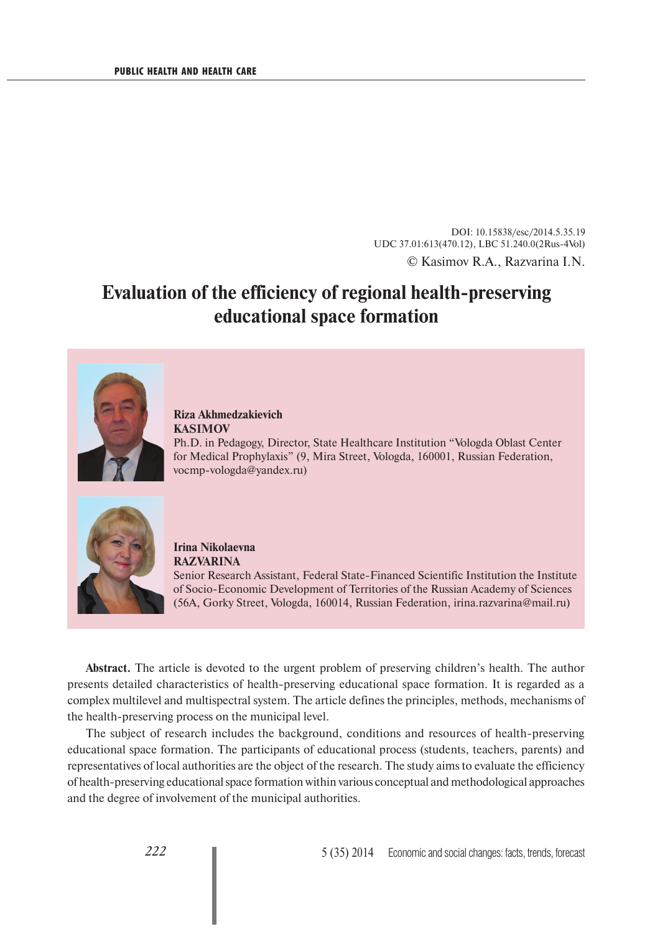DOI: 10.15838/esc/2014.5.35.19 UDC 37.01:613(470.12), LBC 51.240.0(2Rus-4Vol) © Kasimov R.A., Razvarina I.N.

# **Evaluation of the efficiency of regional health-preserving educational space formation**



**Riza Akhmedzakievich KASIMOV**

Ph.D. in Pedagogy, Director, State Healthcare Institution "Vologda Oblast Center for Medical Prophylaxis" (9, Mira Street, Vologda, 160001, Russian Federation, vocmp-vologda@yandex.ru)



**Irina Nikolaevna RAZVARINA** Senior Research Assistant, Federal State-Financed Scientific Institution the Institute of Socio-Economic Development of Territories of the Russian Academy of Sciences (56A, Gorky Street, Vologda, 160014, Russian Federation, irina.razvarina@mail.ru)

**Abstract.** The article is devoted to the urgent problem of preserving children's health. The author presents detailed characteristics of health-preserving educational space formation. It is regarded as a complex multilevel and multispectral system. The article defines the principles, methods, mechanisms of the health-preserving process on the municipal level.

The subject of research includes the background, conditions and resources of health-preserving educational space formation. The participants of educational process (students, teachers, parents) and representatives of local authorities are the object of the research. The study aims to evaluate the efficiency of health-preserving educational space formation within various conceptual and methodological approaches and the degree of involvement of the municipal authorities.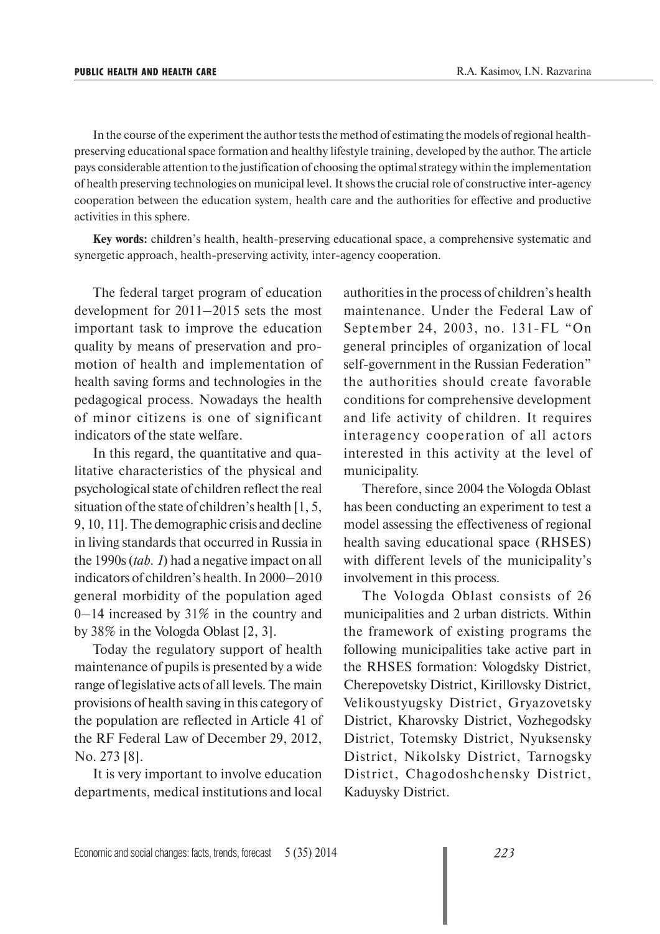In the course of the experiment the author tests the method of estimating the models of regional healthpreserving educational space formation and healthy lifestyle training, developed by the author. The article pays considerable attention to the justification of choosing the optimal strategy within the implementation of health preserving technologies on municipal level. It shows the crucial role of constructive inter-agency cooperation between the education system, health care and the authorities for effective and productive activities in this sphere.

**Key words:** children's health, health-preserving educational space, a comprehensive systematic and synergetic approach, health-preserving activity, inter-agency cooperation.

The federal target program of education development for 2011–2015 sets the most important task to improve the education quality by means of preservation and promotion of health and implementation of health saving forms and technologies in the pedagogical process. Nowadays the health of minor citizens is one of significant indicators of the state welfare.

In this regard, the quantitative and qualitative characteristics of the physical and psychological state of children reflect the real situation of the state of children's health [1, 5, 9, 10, 11]. The demographic crisis and decline in living standards that occurred in Russia in the 1990s (*tab. 1*) had a negative impact on all indicators of children's health. In 2000–2010 general morbidity of the population aged 0–14 increased by 31% in the country and by 38% in the Vologda Oblast [2, 3].

Today the regulatory support of health maintenance of pupils is presented by a wide range of legislative acts of all levels. The main provisions of health saving in this category of the population are reflected in Article 41 of the RF Federal Law of December 29, 2012, No. 273 [8].

It is very important to involve education departments, medical institutions and local authorities in the process of children's health maintenance. Under the Federal Law of September 24, 2003, no. 131-FL "On general principles of organization of local self-government in the Russian Federation" the authorities should create favorable conditions for comprehensive development and life activity of children. It requires interagency cooperation of all actors interested in this activity at the level of municipality.

Therefore, since 2004 the Vologda Oblast has been conducting an experiment to test a model assessing the effectiveness of regional health saving educational space (RHSES) with different levels of the municipality's involvement in this process.

The Vologda Oblast consists of 26 municipalities and 2 urban districts. Within the framework of existing programs the following municipalities take active part in the RHSES formation: Vologdsky District, Cherepovetsky District, Kirillovsky District, Velikoustyugsky District, Gryazovetsky District, Kharovsky District, Vozhegodsky District, Totemsky District, Nyuksensky District, Nikolsky District, Tarnogsky District, Chagodoshchensky District, Kaduysky District.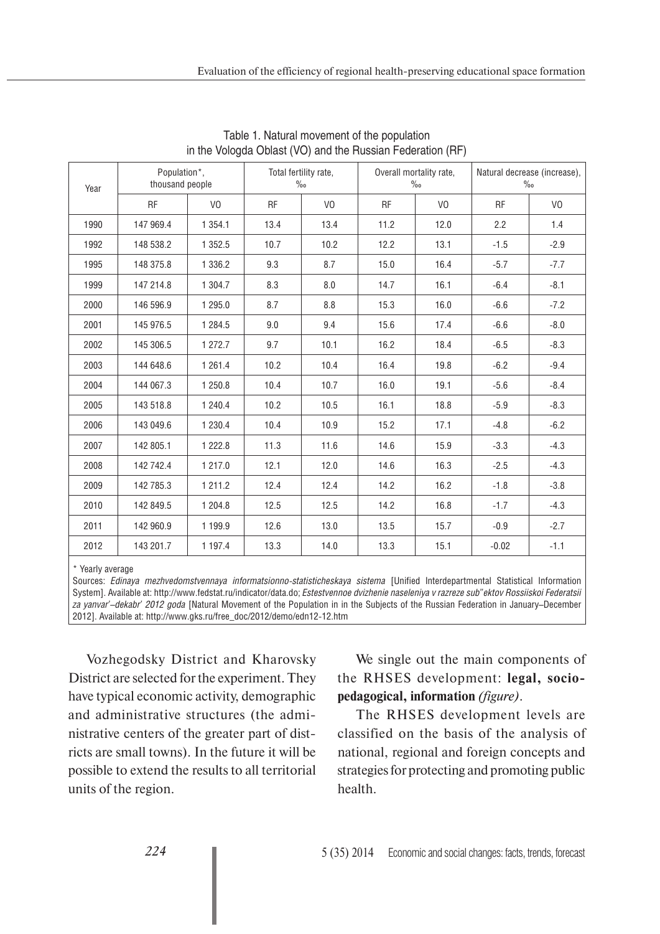| Year | Population*,<br>thousand people |                | Total fertility rate,<br>$\%$ |                | Overall mortality rate,<br>$\%$ |                | Natural decrease (increase),<br>$\%$ |                |
|------|---------------------------------|----------------|-------------------------------|----------------|---------------------------------|----------------|--------------------------------------|----------------|
|      | <b>RF</b>                       | V <sub>0</sub> | <b>RF</b>                     | V <sub>0</sub> | <b>RF</b>                       | V <sub>0</sub> | <b>RF</b>                            | V <sub>0</sub> |
| 1990 | 147 969.4                       | 1 3 5 4 . 1    | 13.4                          | 13.4           | 11.2                            | 12.0           | 2.2                                  | 1.4            |
| 1992 | 148 538.2                       | 1 3 5 2.5      | 10.7                          | 10.2           | 12.2                            | 13.1           | $-1.5$                               | $-2.9$         |
| 1995 | 148 375.8                       | 1 3 3 6 . 2    | 9.3                           | 8.7            | 15.0                            | 16.4           | $-5.7$                               | $-7.7$         |
| 1999 | 147 214.8                       | 1 304.7        | 8.3                           | 8.0            | 14.7                            | 16.1           | $-6.4$                               | $-8.1$         |
| 2000 | 146 596.9                       | 1 295.0        | 8.7                           | 8.8            | 15.3                            | 16.0           | $-6.6$                               | $-7.2$         |
| 2001 | 145 976.5                       | 1 2 8 4 .5     | 9.0                           | 9.4            | 15.6                            | 17.4           | $-6.6$                               | $-8.0$         |
| 2002 | 145 306.5                       | 1 272.7        | 9.7                           | 10.1           | 16.2                            | 18.4           | $-6.5$                               | $-8.3$         |
| 2003 | 144 648.6                       | 1 2 6 1 . 4    | 10.2                          | 10.4           | 16.4                            | 19.8           | $-6.2$                               | $-9.4$         |
| 2004 | 144 067.3                       | 1 250.8        | 10.4                          | 10.7           | 16.0                            | 19.1           | $-5.6$                               | $-8.4$         |
| 2005 | 143 518.8                       | 1 240.4        | 10.2                          | 10.5           | 16.1                            | 18.8           | $-5.9$                               | $-8.3$         |
| 2006 | 143 049.6                       | 1 2 3 0.4      | 10.4                          | 10.9           | 15.2                            | 17.1           | $-4.8$                               | $-6.2$         |
| 2007 | 142 805.1                       | 1 2 2 2.8      | 11.3                          | 11.6           | 14.6                            | 15.9           | $-3.3$                               | $-4.3$         |
| 2008 | 142 742.4                       | 1 217.0        | 12.1                          | 12.0           | 14.6                            | 16.3           | $-2.5$                               | $-4.3$         |
| 2009 | 142 785.3                       | 1 211.2        | 12.4                          | 12.4           | 14.2                            | 16.2           | $-1.8$                               | $-3.8$         |
| 2010 | 142 849.5                       | 1 204.8        | 12.5                          | 12.5           | 14.2                            | 16.8           | $-1.7$                               | $-4.3$         |
| 2011 | 142 960.9                       | 1 199.9        | 12.6                          | 13.0           | 13.5                            | 15.7           | $-0.9$                               | $-2.7$         |
| 2012 | 143 201.7                       | 1 197.4        | 13.3                          | 14.0           | 13.3                            | 15.1           | $-0.02$                              | $-1.1$         |

Table 1. Natural movement of the population in the Vologda Oblast (VO) and the Russian Federation (RF)

\* Yearly average

Sources: *Edinaya mezhvedomstvennaya informatsionno-statisticheskaya sistema* [Unified Interdepartmental Statistical Information System]. Available at: http://www.fedstat.ru/indicator/data.do; *Estestvennoe dvizhenie naseleniya v razreze sub"ektov Rossiiskoi Federatsii za yanvar'–dekabr' 2012 goda* [Natural Movement of the Population in in the Subjects of the Russian Federation in January–December 2012]. Available at: http://www.gks.ru/free\_doc/2012/demo/edn12-12.htm

Vozhegodsky District and Kharovsky District are selected for the experiment. They have typical economic activity, demographic and administrative structures (the administrative centers of the greater part of districts are small towns). In the future it will be possible to extend the results to all territorial units of the region.

We single out the main components of the RHSES development: **legal, sociopedagogical, information** *(figure)*.

The RHSES development levels are classified on the basis of the analysis of national, regional and foreign concepts and strategies for protecting and promoting public health.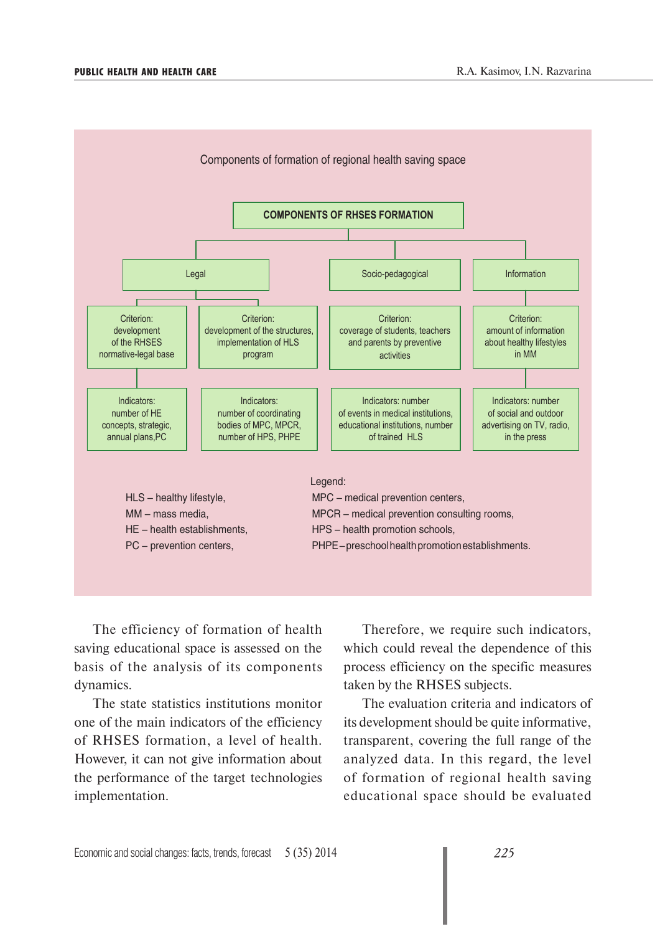

The efficiency of formation of health saving educational space is assessed on the basis of the analysis of its components dynamics.

The state statistics institutions monitor one of the main indicators of the efficiency of RHSES formation, a level of health. However, it can not give information about the performance of the target technologies implementation.

Therefore, we require such indicators, which could reveal the dependence of this process efficiency on the specific measures taken by the RHSES subjects.

The evaluation criteria and indicators of its development should be quite informative, transparent, covering the full range of the analyzed data. In this regard, the level of formation of regional health saving educational space should be evaluated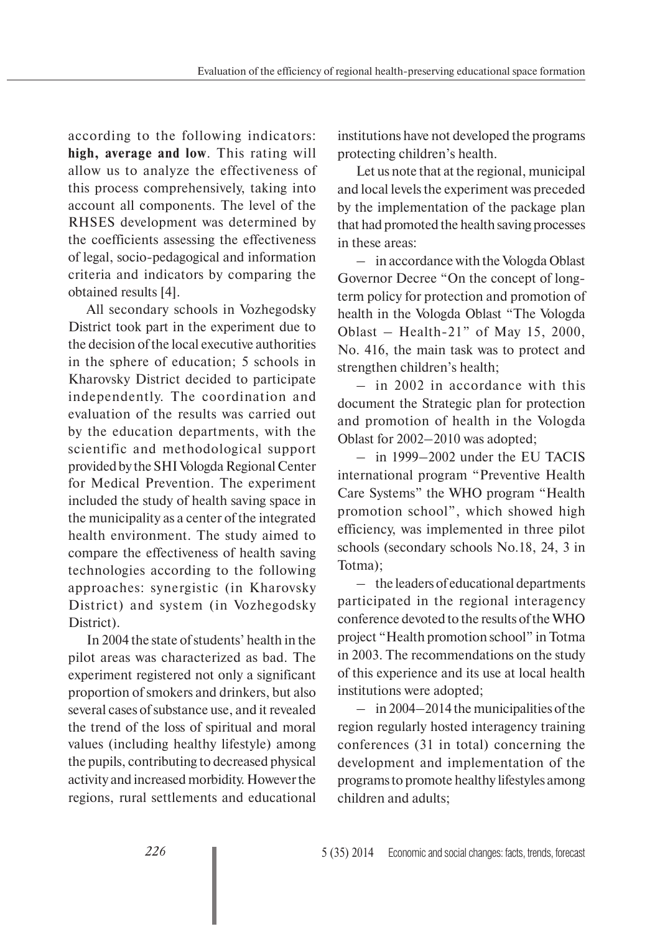according to the following indicators: **high, average and low**. This rating will allow us to analyze the effectiveness of this process comprehensively, taking into account all components. The level of the RHSES development was determined by the coefficients assessing the effectiveness of legal, socio-pedagogical and information criteria and indicators by comparing the obtained results [4].

All secondary schools in Vozhegodsky District took part in the experiment due to the decision of the local executive authorities in the sphere of education; 5 schools in Kharovsky District decided to participate independently. The coordination and evaluation of the results was carried out by the education departments, with the scientific and methodological support provided by the SHI Vologda Regional Center for Medical Prevention. The experiment included the study of health saving space in the municipality as a center of the integrated health environment. The study aimed to compare the effectiveness of health saving technologies according to the following approaches: synergistic (in Kharovsky District) and system (in Vozhegodsky District).

In 2004 the state of students' health in the pilot areas was characterized as bad. The experiment registered not only a significant proportion of smokers and drinkers, but also several cases of substance use, and it revealed the trend of the loss of spiritual and moral values (including healthy lifestyle) among the pupils, contributing to decreased physical activity and increased morbidity. However the regions, rural settlements and educational institutions have not developed the programs protecting children's health.

Let us note that at the regional, municipal and local levels the experiment was preceded by the implementation of the package plan that had promoted the health saving processes in these areas:

– in accordance with the Vologda Oblast Governor Decree "On the concept of longterm policy for protection and promotion of health in the Vologda Oblast "The Vologda Oblast – Health-21" of May 15, 2000, No. 416, the main task was to protect and strengthen children's health;

– in 2002 in accordance with this document the Strategic plan for protection and promotion of health in the Vologda Oblast for 2002–2010 was adopted;

– in 1999–2002 under the EU TACIS international program "Preventive Health Care Systems" the WHO program "Health promotion school", which showed high efficiency, was implemented in three pilot schools (secondary schools No.18, 24, 3 in Totma);

– the leaders of educational departments participated in the regional interagency conference devoted to the results of the WHO project "Health promotion school" in Totma in 2003. The recommendations on the study of this experience and its use at local health institutions were adopted;

– in 2004–2014 the municipalities of the region regularly hosted interagency training conferences (31 in total) concerning the development and implementation of the programs to promote healthy lifestyles among children and adults;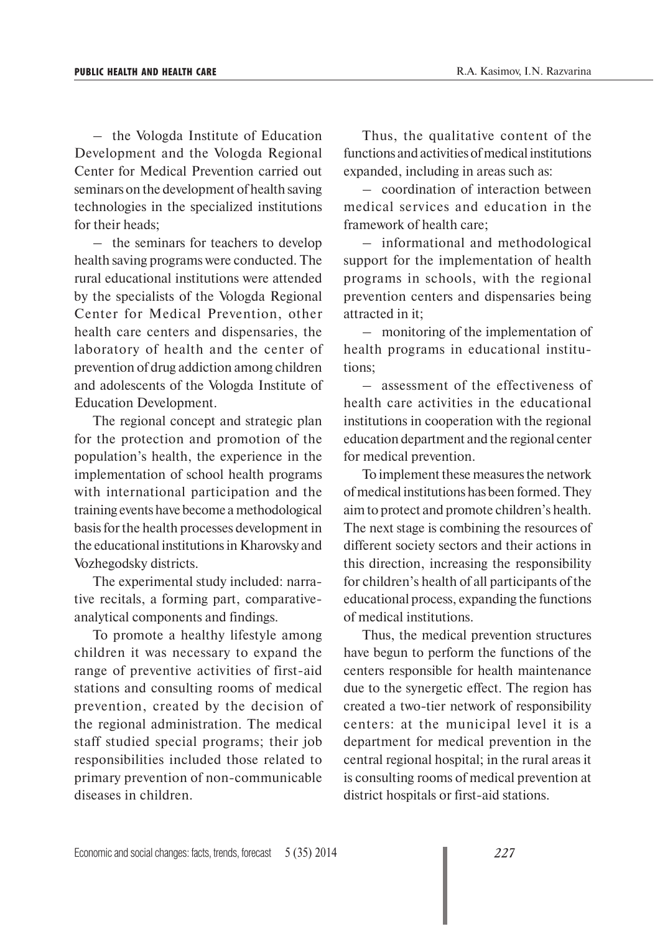– the Vologda Institute of Education Development and the Vologda Regional Center for Medical Prevention carried out seminars on the development of health saving technologies in the specialized institutions for their heads;

– the seminars for teachers to develop health saving programs were conducted. The rural educational institutions were attended by the specialists of the Vologda Regional Center for Medical Prevention, other health care centers and dispensaries, the laboratory of health and the center of prevention of drug addiction among children and adolescents of the Vologda Institute of Education Development.

The regional concept and strategic plan for the protection and promotion of the population's health, the experience in the implementation of school health programs with international participation and the training events have become a methodological basis for the health processes development in the educational institutions in Kharovsky and Vozhegodsky districts.

The experimental study included: narrative recitals, a forming part, comparativeanalytical components and findings.

To promote a healthy lifestyle among children it was necessary to expand the range of preventive activities of first-aid stations and consulting rooms of medical prevention, created by the decision of the regional administration. The medical staff studied special programs; their job responsibilities included those related to primary prevention of non-communicable diseases in children.

Thus, the qualitative content of the functions and activities of medical institutions expanded, including in areas such as:

– coordination of interaction between medical services and education in the framework of health care;

– informational and methodological support for the implementation of health programs in schools, with the regional prevention centers and dispensaries being attracted in it;

– monitoring of the implementation of health programs in educational institutions;

– assessment of the effectiveness of health care activities in the educational institutions in cooperation with the regional education department and the regional center for medical prevention.

To implement these measures the network of medical institutions has been formed. They aim to protect and promote children's health. The next stage is combining the resources of different society sectors and their actions in this direction, increasing the responsibility for children's health of all participants of the educational process, expanding the functions of medical institutions.

Thus, the medical prevention structures have begun to perform the functions of the centers responsible for health maintenance due to the synergetic effect. The region has created a two-tier network of responsibility centers: at the municipal level it is a department for medical prevention in the central regional hospital; in the rural areas it is consulting rooms of medical prevention at district hospitals or first-aid stations.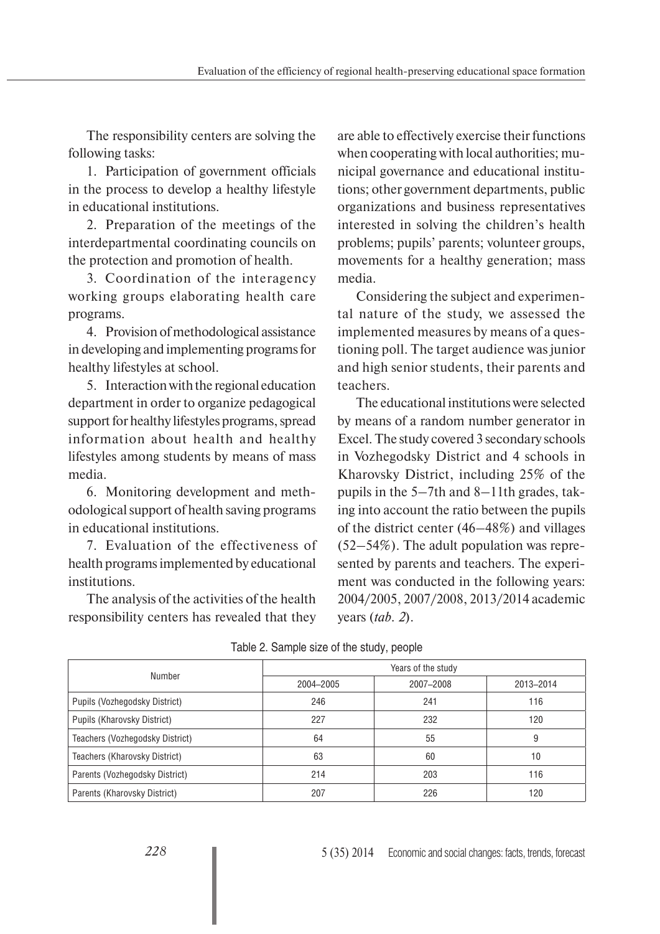The responsibility centers are solving the following tasks:

1. Participation of government officials in the process to develop a healthy lifestyle in educational institutions.

2. Preparation of the meetings of the interdepartmental coordinating councils on the protection and promotion of health.

3. Coordination of the interagency working groups elaborating health care programs.

4. Provision of methodological assistance in developing and implementing programs for healthy lifestyles at school.

5. Interaction with the regional education department in order to organize pedagogical support for healthy lifestyles programs, spread information about health and healthy lifestyles among students by means of mass media.

6. Monitoring development and methodological support of health saving programs in educational institutions.

7. Evaluation of the effectiveness of health programs implemented by educational institutions.

The analysis of the activities of the health responsibility centers has revealed that they

are able to effectively exercise their functions when cooperating with local authorities; municipal governance and educational institutions; other government departments, public organizations and business representatives interested in solving the children's health problems; pupils' parents; volunteer groups, movements for a healthy generation; mass media.

Considering the subject and experimental nature of the study, we assessed the implemented measures by means of a questioning poll. The target audience was junior and high senior students, their parents and teachers.

The educational institutions were selected by means of a random number generator in Ехсеl. The study covered 3 secondary schools in Vozhegodsky District and 4 schools in Kharovsky District, including 25% of the pupils in the 5–7th and 8–11th grades, taking into account the ratio between the pupils of the district center (46–48%) and villages (52–54%). The adult population was represented by parents and teachers. The experiment was conducted in the following years: 2004/2005, 2007/2008, 2013/2014 academic years (*tab. 2*).

|                                 | Years of the study |           |           |  |  |  |
|---------------------------------|--------------------|-----------|-----------|--|--|--|
| Number                          | 2004-2005          | 2007-2008 | 2013-2014 |  |  |  |
| Pupils (Vozhegodsky District)   | 246                | 241       | 116       |  |  |  |
| Pupils (Kharovsky District)     | 227                | 232       | 120       |  |  |  |
| Teachers (Vozhegodsky District) | 64                 | 55        | 9         |  |  |  |
| Teachers (Kharovsky District)   | 63                 | 60        | 10        |  |  |  |
| Parents (Vozhegodsky District)  | 214                | 203       | 116       |  |  |  |
| Parents (Kharovsky District)    | 207                | 226       | 120       |  |  |  |

Table 2. Sample size of the study, people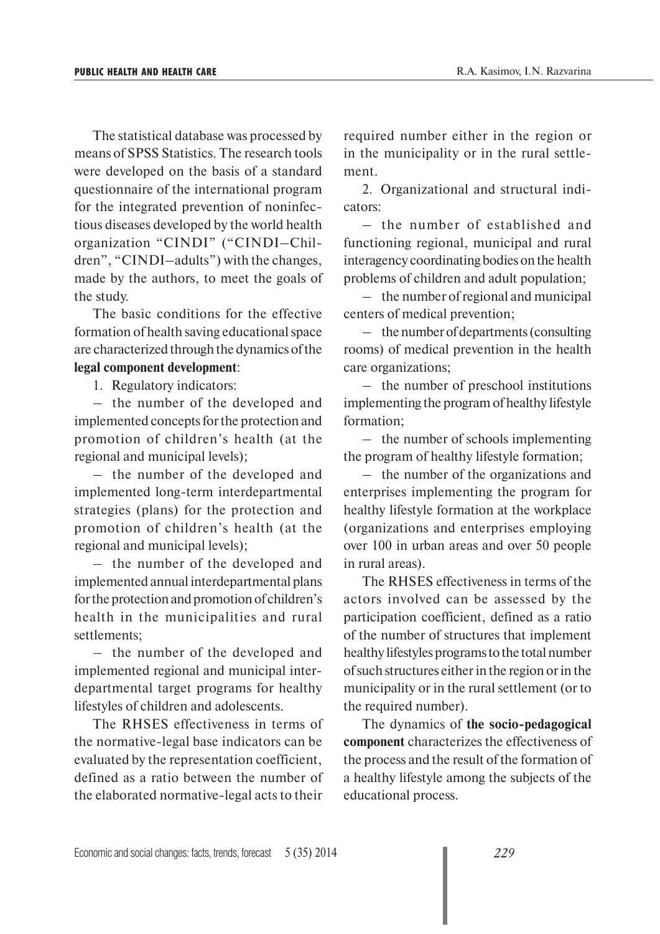The statistical database was processed by means of SPSS Statistics. The research tools were developed on the basis of a standard questionnaire of the international program for the integrated prevention of noninfectious diseases developed by the world health organization "CINDI" ("CINDI–Children", "CINDI–adults") with the changes, made by the authors, to meet the goals of the study.

The basic conditions for the effective formation of health saving educational space are characterized through the dynamics of the **legal component development**:

1. Regulatory indicators:

– the number of the developed and implemented concepts for the protection and promotion of children's health (at the regional and municipal levels);

– the number of the developed and implemented long-term interdepartmental strategies (plans) for the protection and promotion of children's health (at the regional and municipal levels);

– the number of the developed and implemented annual interdepartmental plans for the protection and promotion of children's health in the municipalities and rural settlements;

– the number of the developed and implemented regional and municipal interdepartmental target programs for healthy lifestyles of children and adolescents.

The RHSES effectiveness in terms of the normative-legal base indicators can be evaluated by the representation coefficient, defined as a ratio between the number of the elaborated normative-legal acts to their

required number either in the region or in the municipality or in the rural settlement.

2. Organizational and structural indicators:

– the number of established and functioning regional, municipal and rural interagency coordinating bodies on the health problems of children and adult population;

– the number of regional and municipal centers of medical prevention;

– the number of departments (consulting rooms) of medical prevention in the health care organizations;

– the number of preschool institutions implementing the program of healthy lifestyle formation;

– the number of schools implementing the program of healthy lifestyle formation;

– the number of the organizations and enterprises implementing the program for healthy lifestyle formation at the workplace (organizations and enterprises employing over 100 in urban areas and over 50 people in rural areas).

The RHSES effectiveness in terms of the actors involved can be assessed by the participation coefficient, defined as a ratio of the number of structures that implement healthy lifestyles programs to the total number of such structures either in the region or in the municipality or in the rural settlement (or to the required number).

The dynamics of **the socio-pedagogical component** characterizes the effectiveness of the process and the result of the formation of a healthy lifestyle among the subjects of the educational process.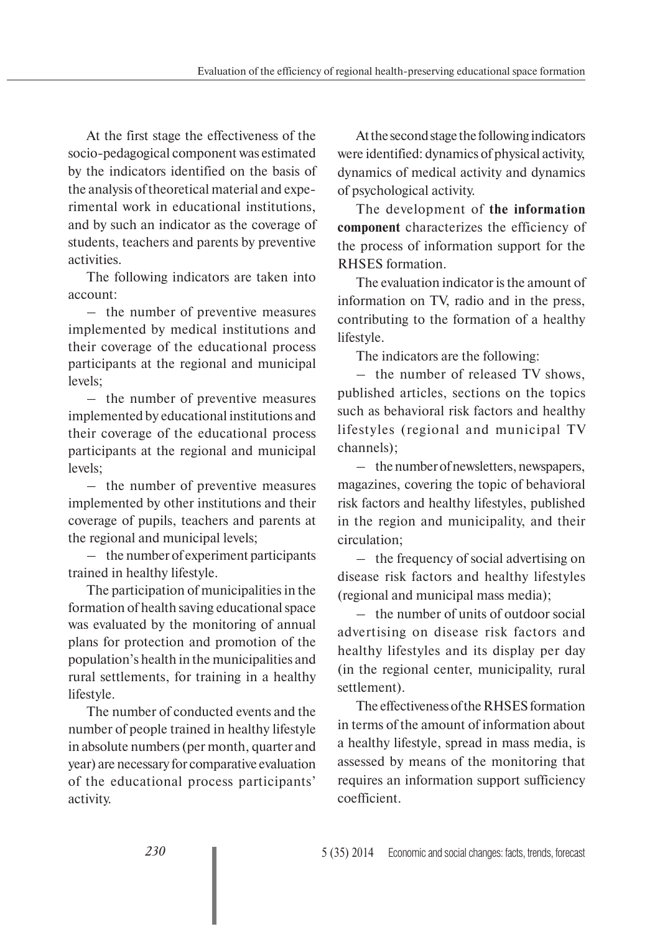At the first stage the effectiveness of the socio-pedagogical component was estimated by the indicators identified on the basis of the analysis of theoretical material and experimental work in educational institutions, and by such an indicator as the coverage of students, teachers and parents by preventive activities.

The following indicators are taken into account:

– the number of preventive measures implemented by medical institutions and their coverage of the educational process participants at the regional and municipal levels;

– the number of preventive measures implemented by educational institutions and their coverage of the educational process participants at the regional and municipal levels;

– the number of preventive measures implemented by other institutions and their coverage of pupils, teachers and parents at the regional and municipal levels;

– the number of experiment participants trained in healthy lifestyle.

The participation of municipalities in the formation of health saving educational space was evaluated by the monitoring of annual plans for protection and promotion of the population's health in the municipalities and rural settlements, for training in a healthy lifestyle.

The number of conducted events and the number of people trained in healthy lifestyle in absolute numbers (per month, quarter and year) are necessary for comparative evaluation of the educational process participants' activity.

At the second stage the following indicators were identified: dynamics of physical activity, dynamics of medical activity and dynamics of psychological activity.

The development of **the information component** characterizes the efficiency of the process of information support for the RHSES formation.

The evaluation indicator is the amount of information on TV, radio and in the press, contributing to the formation of a healthy lifestyle.

The indicators are the following:

– the number of released TV shows, published articles, sections on the topics such as behavioral risk factors and healthy lifestyles (regional and municipal TV channels);

– the number of newsletters, newspapers, magazines, covering the topic of behavioral risk factors and healthy lifestyles, published in the region and municipality, and their circulation;

– the frequency of social advertising on disease risk factors and healthy lifestyles (regional and municipal mass media);

– the number of units of outdoor social advertising on disease risk factors and healthy lifestyles and its display per day (in the regional center, municipality, rural settlement).

The effectiveness of the RHSES formation in terms of the amount of information about a healthy lifestyle, spread in mass media, is assessed by means of the monitoring that requires an information support sufficiency coefficient.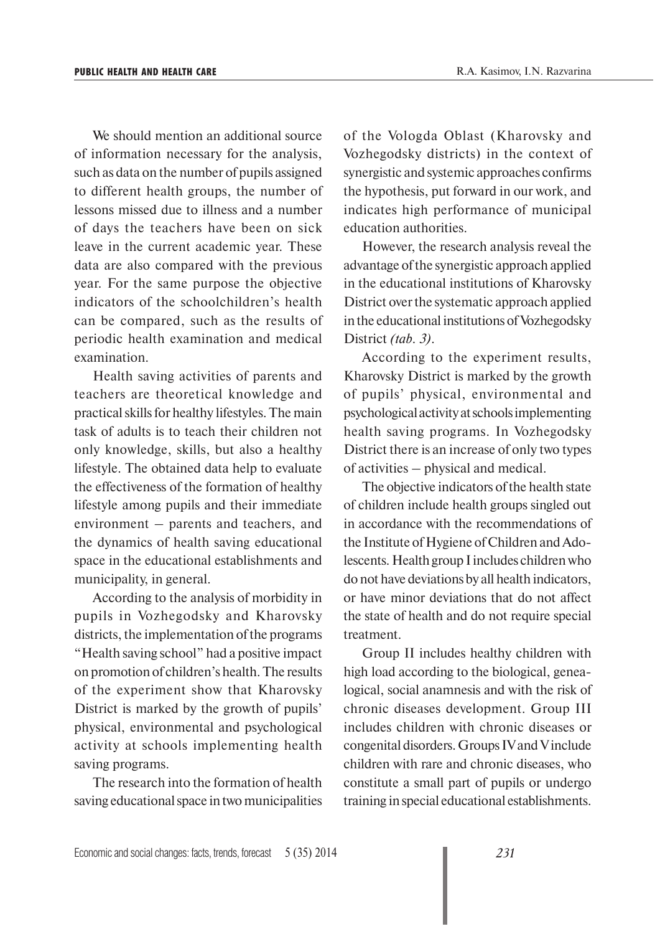We should mention an additional source. of information necessary for the analysis, such as data on the number of pupils assigned to different health groups, the number of lessons missed due to illness and a number of days the teachers have been on sick leave in the current academic year. These data are also compared with the previous year. For the same purpose the objective indicators of the schoolchildren's health can be compared, such as the results of periodic health examination and medical examination.

Health saving activities of parents and teachers are theoretical knowledge and practical skills for healthy lifestyles. The main task of adults is to teach their children not only knowledge, skills, but also a healthy lifestyle. The obtained data help to evaluate the effectiveness of the formation of healthy lifestyle among pupils and their immediate environment – parents and teachers, and the dynamics of health saving educational space in the educational establishments and municipality, in general.

According to the analysis of morbidity in pupils in Vozhegodsky and Kharovsky districts, the implementation of the programs "Health saving school" had a positive impact on promotion of children's health. The results of the experiment show that Kharovsky District is marked by the growth of pupils' physical, environmental and psychological activity at schools implementing health saving programs.

The research into the formation of health saving educational space in two municipalities

of the Vologda Oblast (Kharovsky and Vozhegodsky districts) in the context of synergistic and systemic approaches confirms the hypothesis, put forward in our work, and indicates high performance of municipal education authorities.

However, the research analysis reveal the advantage of the synergistic approach applied in the educational institutions of Kharovsky District over the systematic approach applied in the educational institutions of Vozhegodsky District *(tab. 3)*.

According to the experiment results, Kharovsky District is marked by the growth of pupils' physical, environmental and psychological activity at schools implementing health saving programs. In Vozhegodsky District there is an increase of only two types of activities – physical and medical.

The objective indicators of the health state of children include health groups singled out in accordance with the recommendations of the Institute of Hygiene of Children and Adolescents. Health group I includes children who do not have deviations by all health indicators, or have minor deviations that do not affect the state of health and do not require special treatment.

Group II includes healthy children with high load according to the biological, genealogical, social anamnesis and with the risk of chronic diseases development. Group III includes children with chronic diseases or congenital disorders. Groups IV and V include children with rare and chronic diseases, who constitute a small part of pupils or undergo training in special educational establishments.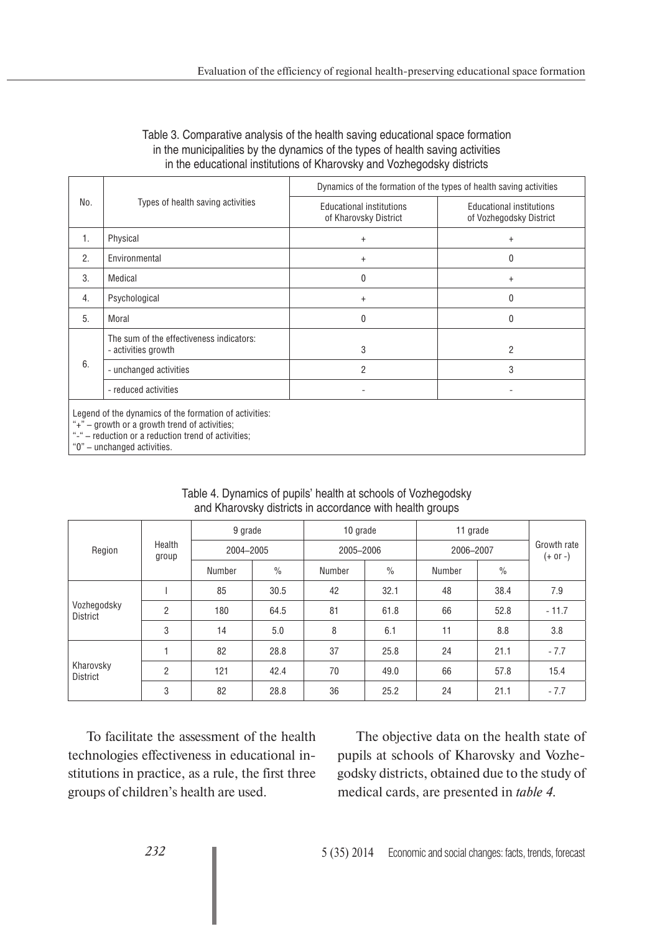### Table 3. Comparative analysis of the health saving educational space formation in the municipalities by the dynamics of the types of health saving activities in the educational institutions of Kharovsky and Vozhegodsky districts

|     |                                                                                                                                                                                               | Dynamics of the formation of the types of health saving activities |                                                            |  |  |  |
|-----|-----------------------------------------------------------------------------------------------------------------------------------------------------------------------------------------------|--------------------------------------------------------------------|------------------------------------------------------------|--|--|--|
| No. | Types of health saving activities                                                                                                                                                             | <b>Educational institutions</b><br>of Kharovsky District           | <b>Educational institutions</b><br>of Vozhegodsky District |  |  |  |
| 1.  | Physical                                                                                                                                                                                      | $\ddot{}$                                                          | $\ddot{}$                                                  |  |  |  |
| 2.  | Environmental                                                                                                                                                                                 | $+$                                                                | 0                                                          |  |  |  |
| 3.  | Medical                                                                                                                                                                                       | 0                                                                  | $+$                                                        |  |  |  |
| 4.  | Psychological                                                                                                                                                                                 | $\ddot{}$                                                          | 0                                                          |  |  |  |
| 5.  | Moral                                                                                                                                                                                         | 0                                                                  | 0                                                          |  |  |  |
| 6.  | The sum of the effectiveness indicators:<br>- activities growth                                                                                                                               | 3                                                                  | 2                                                          |  |  |  |
|     | - unchanged activities                                                                                                                                                                        | $\overline{2}$                                                     | 3                                                          |  |  |  |
|     | - reduced activities                                                                                                                                                                          |                                                                    |                                                            |  |  |  |
|     | Legend of the dynamics of the formation of activities:<br>"+" – growth or a growth trend of activities;<br>"-" - reduction or a reduction trend of activities;<br>"0" – unchanged activities. |                                                                    |                                                            |  |  |  |

|                                | Health<br>group | 9 grade   |                       | 10 grade  |               | 11 grade  |               | Growth rate<br>$(+ or -)$ |
|--------------------------------|-----------------|-----------|-----------------------|-----------|---------------|-----------|---------------|---------------------------|
| Region                         |                 | 2004-2005 |                       | 2005-2006 |               | 2006-2007 |               |                           |
|                                |                 | Number    | $\frac{0}{0}$         | Number    | $\frac{0}{0}$ | Number    | $\frac{0}{0}$ |                           |
| Vozhegodsky<br><b>District</b> |                 | 85        | 30.5                  | 42        | 32.1          | 48        | 38.4          | 7.9                       |
|                                | $\overline{2}$  | 180       | 64.5                  | 81        | 61.8          | 66        | 52.8          | $-11.7$                   |
|                                | 3               | 14        | 8<br>11<br>6.1<br>5.0 | 8.8       | 3.8           |           |               |                           |
| Kharovsky<br><b>District</b>   |                 | 82        | 28.8                  | 37        | 25.8          | 24        | 21.1          | $-7.7$                    |
|                                | $\overline{2}$  | 121       | 42.4                  | 70        | 49.0          | 66        | 57.8          | 15.4                      |
|                                | 3               | 82        | 28.8                  | 36        | 25.2          | 24        | 21.1          | $-7.7$                    |

## Table 4. Dynamics of pupils' health at schools of Vozhegodsky and Kharovsky districts in accordance with health groups

To facilitate the assessment of the health technologies effectiveness in educational institutions in practice, as a rule, the first three groups of children's health are used.

The objective data on the health state of pupils at schools of Kharovsky and Vozhegodsky districts, obtained due to the study of medical cards, are presented in *table 4*.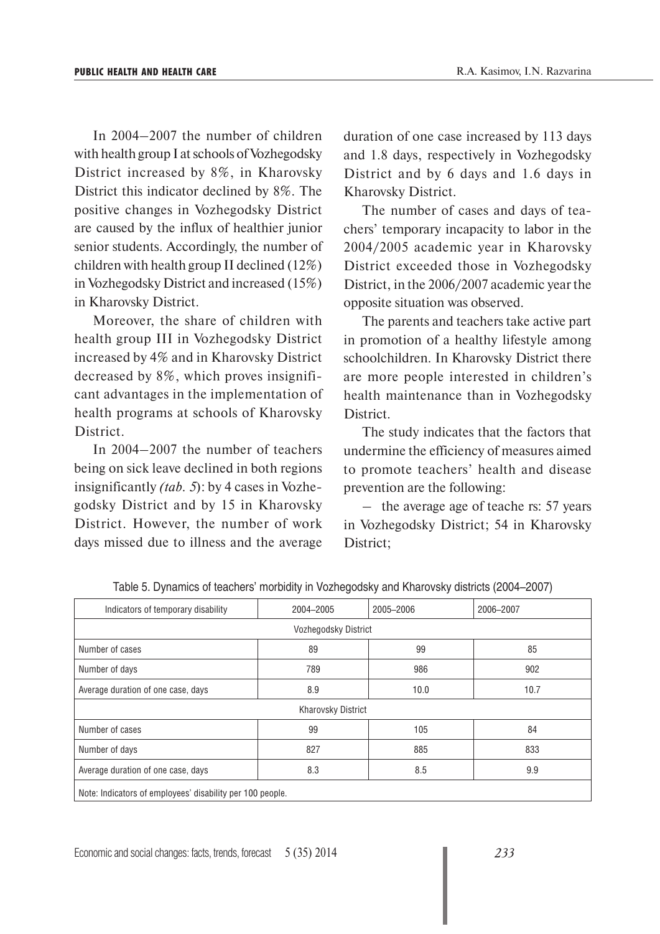In 2004–2007 the number of children with health group I at schools of Vozhegodsky District increased by 8%, in Kharovsky District this indicator declined by 8%. The positive changes in Vozhegodsky District are caused by the influx of healthier junior senior students. Accordingly, the number of children with health group II declined (12%) in Vozhegodsky District and increased (15%) in Kharovsky District.

Moreover, the share of children with health group III in Vozhegodsky District increased by 4% and in Kharovsky District decreased by 8%, which proves insignificant advantages in the implementation of health programs at schools of Kharovsky District.

In 2004–2007 the number of teachers being on sick leave declined in both regions insignificantly *(tab. 5*): by 4 cases in Vozhegodsky District and by 15 in Kharovsky District. However, the number of work days missed due to illness and the average

duration of one case increased by 113 days and 1.8 days, respectively in Vozhegodsky District and by 6 days and 1.6 days in Kharovsky District.

The number of cases and days of teachers' temporary incapacity to labor in the 2004/2005 academic year in Kharovsky District exceeded those in Vozhegodsky District, in the 2006/2007 academic year the opposite situation was observed.

The parents and teachers take active part in promotion of a healthy lifestyle among schoolchildren. In Kharovsky District there are more people interested in children's health maintenance than in Vozhegodsky District.

The study indicates that the factors that undermine the efficiency of measures aimed to promote teachers' health and disease prevention are the following:

– the average age of teache rs: 57 years in Vozhegodsky District; 54 in Kharovsky District;

| Indicators of temporary disability                        | 2004-2005 | 2005-2006 | 2006-2007 |  |  |  |  |
|-----------------------------------------------------------|-----------|-----------|-----------|--|--|--|--|
| Vozhegodsky District                                      |           |           |           |  |  |  |  |
| Number of cases                                           | 89        | 99        | 85        |  |  |  |  |
| Number of days                                            | 789       | 986       | 902       |  |  |  |  |
| Average duration of one case, days                        | 8.9       | 10.0      | 10.7      |  |  |  |  |
| <b>Kharovsky District</b>                                 |           |           |           |  |  |  |  |
| Number of cases                                           | 99        | 105       | 84        |  |  |  |  |
| Number of days                                            | 827       | 885       | 833       |  |  |  |  |
| Average duration of one case, days                        | 8.3       | 8.5       | 9.9       |  |  |  |  |
| Note: Indicators of employees' disability per 100 people. |           |           |           |  |  |  |  |

Table 5. Dynamics of teachers' morbidity in Vozhegodsky and Kharovsky districts (2004–2007)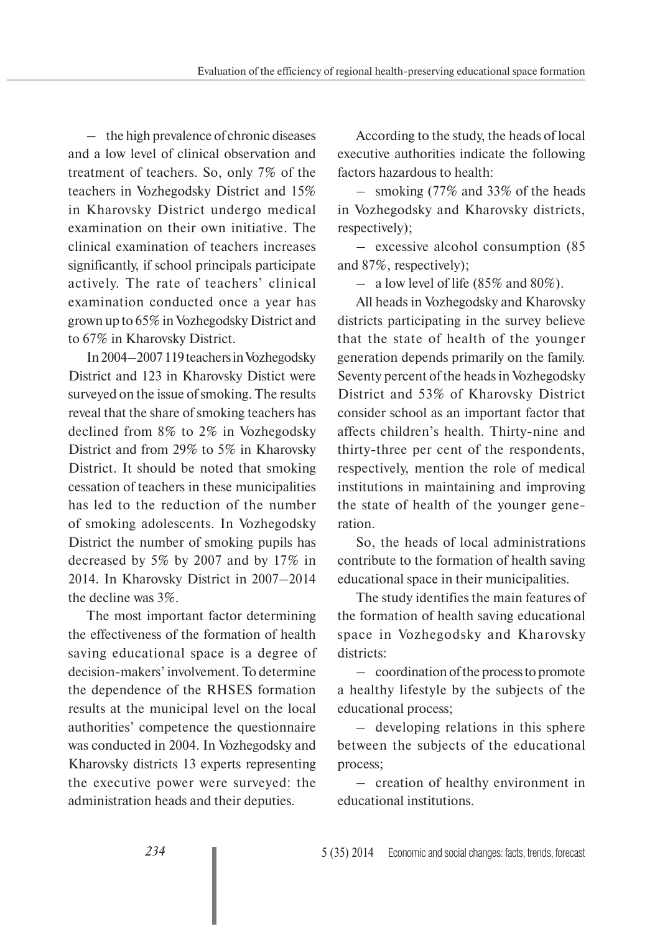– the high prevalence of chronic diseases and a low level of clinical observation and treatment of teachers. So, only 7% of the teachers in Vozhegodsky District and 15% in Kharovsky District undergo medical examination on their own initiative. The clinical examination of teachers increases significantly, if school principals participate actively. The rate of teachers' clinical examination conducted once a year has grown up to 65% in Vozhegodsky District and to 67% in Kharovsky District.

In 2004–2007 119 teachers in Vozhegodsky District and 123 in Kharovsky Distict were surveyed on the issue of smoking. The results reveal that the share of smoking teachers has declined from 8% to 2% in Vozhegodsky District and from 29% to 5% in Kharovsky District. It should be noted that smoking cessation of teachers in these municipalities has led to the reduction of the number of smoking adolescents. In Vozhegodsky District the number of smoking pupils has decreased by 5% by 2007 and by 17% in 2014. In Kharovsky District in 2007–2014 the decline was 3%.

The most important factor determining the effectiveness of the formation of health saving educational space is a degree of decision-makers' involvement. To determine the dependence of the RHSES formation results at the municipal level on the local authorities' competence the questionnaire was conducted in 2004. In Vozhegodsky and Kharovsky districts 13 experts representing the executive power were surveyed: the administration heads and their deputies.

According to the study, the heads of local executive authorities indicate the following factors hazardous to health:

– smoking (77% and 33% of the heads in Vozhegodsky and Kharovsky districts, respectively);

– excessive alcohol consumption (85 and 87%, respectively);

– a low level of life  $(85\% \text{ and } 80\%).$ 

All heads in Vozhegodsky and Kharovsky districts participating in the survey believe that the state of health of the younger generation depends primarily on the family. Seventy percent of the heads in Vozhegodsky District and 53% of Kharovsky District consider school as an important factor that affects children's health. Thirty-nine and thirty-three per cent of the respondents, respectively, mention the role of medical institutions in maintaining and improving the state of health of the younger generation.

So, the heads of local administrations contribute to the formation of health saving educational space in their municipalities.

The study identifies the main features of the formation of health saving educational space in Vozhegodsky and Kharovsky districts:

– coordination of the process to promote a healthy lifestyle by the subjects of the educational process;

– developing relations in this sphere between the subjects of the educational process;

– creation of healthy environment in educational institutions.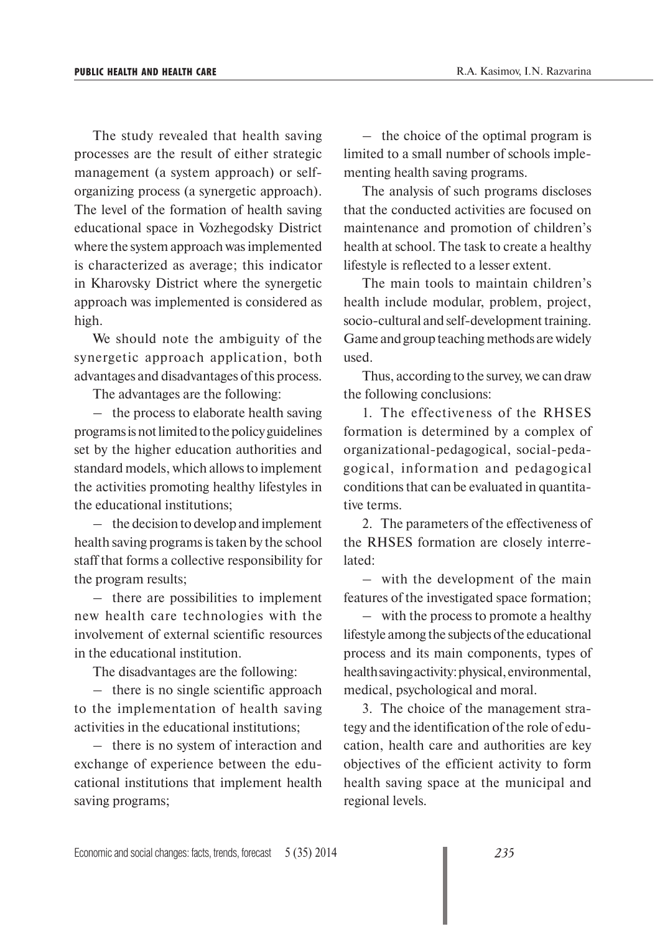The study revealed that health saving processes are the result of either strategic management (a system approach) or selforganizing process (a synergetic approach). The level of the formation of health saving educational space in Vozhegodsky District where the system approach was implemented is characterized as average; this indicator in Kharovsky District where the synergetic approach was implemented is considered as high.

We should note the ambiguity of the synergetic approach application, both advantages and disadvantages of this process.

The advantages are the following:

– the process to elaborate health saving programs is not limited to the policy guidelines set by the higher education authorities and standard models, which allows to implement the activities promoting healthy lifestyles in the educational institutions;

– the decision to develop and implement health saving programs is taken by the school staff that forms a collective responsibility for the program results;

– there are possibilities to implement new health care technologies with the involvement of external scientific resources in the educational institution.

The disadvantages are the following:

– there is no single scientific approach to the implementation of health saving activities in the educational institutions;

– there is no system of interaction and exchange of experience between the educational institutions that implement health saving programs;

– the choice of the optimal program is limited to a small number of schools implementing health saving programs.

The analysis of such programs discloses that the conducted activities are focused on maintenance and promotion of children's health at school. The task to create a healthy lifestyle is reflected to a lesser extent.

The main tools to maintain children's health include modular, problem, project, socio-cultural and self-development training. Game and group teaching methods are widely used.

Thus, according to the survey, we can draw the following conclusions:

1. The effectiveness of the RHSES formation is determined by a complex of organizational-pedagogical, social-pedagogical, information and pedagogical conditions that can be evaluated in quantitative terms.

2. The parameters of the effectiveness of the RHSES formation are closely interrelated:

– with the development of the main features of the investigated space formation;

– with the process to promote a healthy lifestyle among the subjects of the educational process and its main components, types of health saving activity: physical, environmental, medical, psychological and moral.

3. The choice of the management strategy and the identification of the role of education, health care and authorities are key objectives of the efficient activity to form health saving space at the municipal and regional levels.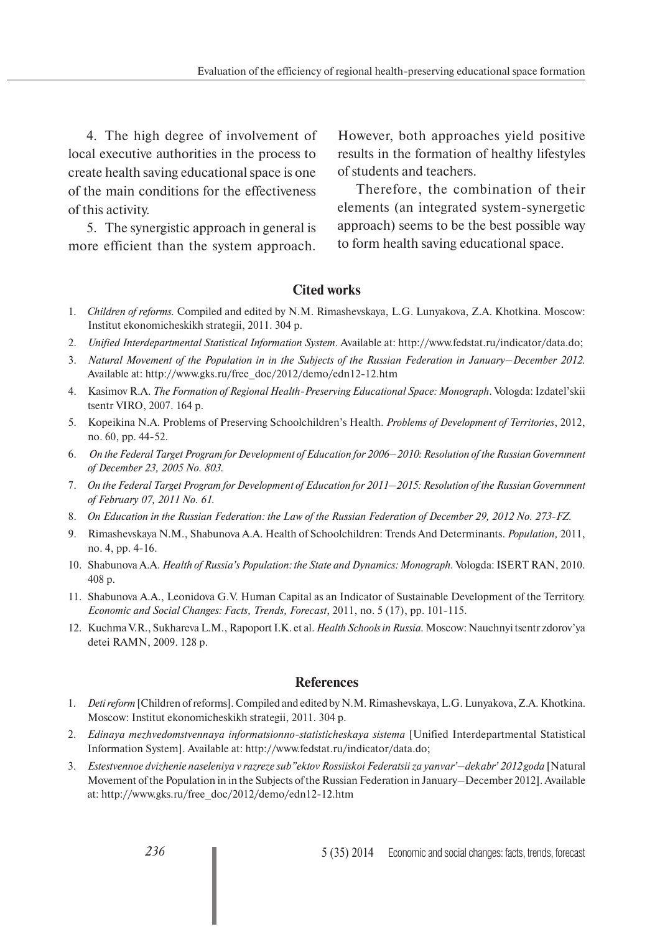4. The high degree of involvement of local executive authorities in the process to create health saving educational space is one of the main conditions for the effectiveness of this activity.

5. The synergistic approach in general is more efficient than the system approach.

However, both approaches yield positive results in the formation of healthy lifestyles of students and teachers.

Therefore, the combination of their elements (an integrated system-synergetic approach) seems to be the best possible way to form health saving educational space.

# **Cited works**

- 1. *Children of reforms.* Compiled and edited by N.M. Rimashevskaya, L.G. Lunyakova, Z.A. Khotkina. Moscow: Institut ekonomicheskikh strategii, 2011. 304 p.
- 2. *Unified Interdepartmental Statistical Information System*. Available at: http://www.fedstat.ru/indicator/data.do;
- 3. *Natural Movement of the Population in in the Subjects of the Russian Federation in January–December 2012.*  Available at: http://www.gks.ru/free\_doc/2012/demo/edn12-12.htm
- 4. Kasimov R.A. *The Formation of Regional Health-Preserving Educational Space: Monograph*. Vologda: Izdatel'skii tsentr VIRO, 2007. 164 p.
- 5. Kopeikina N.A. Problems of Preserving Schoolchildren's Health. *Problems of Development of Territories*, 2012, no. 60, pp. 44-52.
- 6. *On the Federal Target Program for Development of Education for 2006–2010: Resolution of the Russian Government of December 23, 2005 No. 803.*
- 7. *On the Federal Target Program for Development of Education for 2011–2015: Resolution of the Russian Government of February 07, 2011 No. 61.*
- 8. *On Education in the Russian Federation: the Law of the Russian Federation of December 29, 2012 No. 273-FZ.*
- 9. Rimashevskaya N.M., Shabunova A.A. Health of Schoolchildren: Trends And Determinants. *Population,* 2011, no. 4, pp. 4-16.
- 10. Shabunova A.A. *Health of Russia's Population: the State and Dynamics: Monograph.* Vologda: ISERT RAN, 2010. 408 p.
- 11. Shabunova A.A., Leonidova G.V. Human Capital as an Indicator of Sustainable Development of the Territory. *Economic and Social Changes: Facts, Trends, Forecast*, 2011, no. 5 (17), pp. 101-115.
- 12. Kuchma V.R., Sukhareva L.M., Rapoport I.K. et al. *Health Schools in Russia.* Moscow: Nauchnyi tsentr zdorov'ya detei RAMN, 2009. 128 p.

### **References**

- 1. *Deti reform* [Children of reforms]. Compiled and edited by N.M. Rimashevskaya, L.G. Lunyakova, Z.A. Khotkina. Moscow: Institut ekonomicheskikh strategii, 2011. 304 p.
- 2. *Edinaya mezhvedomstvennaya informatsionno-statisticheskaya sistema* [Unified Interdepartmental Statistical Information System]. Available at: http://www.fedstat.ru/indicator/data.do;
- 3. *Estestvennoe dvizhenie naseleniya v razreze sub"ektov Rossiiskoi Federatsii za yanvar'–dekabr' 2012 goda* [Natural Movement of the Population in in the Subjects of the Russian Federation in January–December 2012]. Available at: http://www.gks.ru/free\_doc/2012/demo/edn12-12.htm